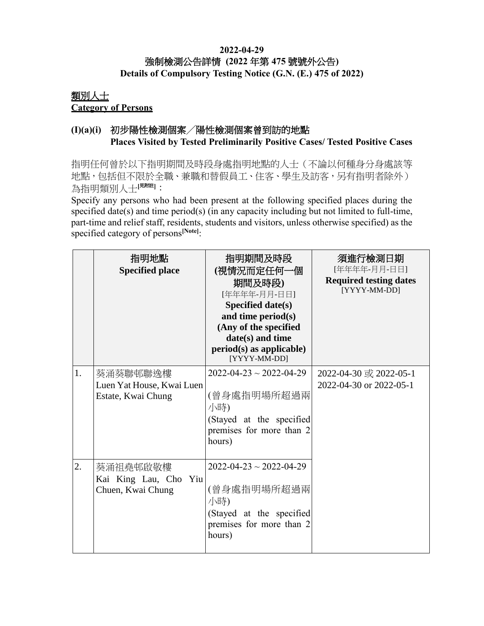### **2022-04-29** 強制檢測公告詳情 **(2022** 年第 **475** 號號外公告**) Details of Compulsory Testing Notice (G.N. (E.) 475 of 2022)**

### 類別人士 **Category of Persons**

## **(I)(a)(i)** 初步陽性檢測個案╱陽性檢測個案曾到訪的地點 **Places Visited by Tested Preliminarily Positive Cases/ Tested Positive Cases**

指明任何曾於以下指明期間及時段身處指明地點的人士(不論以何種身分身處該等 地點,包括但不限於全職、兼職和替假員工、住客、學生及訪客,另有指明者除外) 為指明類別人士[<sup>見附註]</sup>:

Specify any persons who had been present at the following specified places during the specified date(s) and time period(s) (in any capacity including but not limited to full-time, part-time and relief staff, residents, students and visitors, unless otherwise specified) as the specified category of persons**[Note]**:

|                  | 指明地點<br><b>Specified place</b>                              | 指明期間及時段<br>(視情況而定任何一個<br>期間及時段)<br>[年年年年-月月-日日]<br>Specified date(s)<br>and time period(s)<br>(Any of the specified<br>date(s) and time<br>$period(s)$ as applicable)<br>[YYYY-MM-DD] | 須進行檢測日期<br>[年年年年-月月-日日]<br><b>Required testing dates</b><br>[YYYY-MM-DD] |
|------------------|-------------------------------------------------------------|---------------------------------------------------------------------------------------------------------------------------------------------------------------------------------------|--------------------------------------------------------------------------|
| 1.               | 葵涌葵聯邨聯逸樓<br>Luen Yat House, Kwai Luen<br>Estate, Kwai Chung | $2022 - 04 - 23 \sim 2022 - 04 - 29$<br>(曾身處指明場所超過兩<br>小時)<br>(Stayed at the specified<br>premises for more than 2<br>hours)                                                          | 2022-04-30 或 2022-05-1<br>2022-04-30 or 2022-05-1                        |
| $\overline{2}$ . | 葵涌祖堯邨啟敬樓<br>Kai King Lau, Cho Yiu<br>Chuen, Kwai Chung      | $2022 - 04 - 23 \sim 2022 - 04 - 29$<br>(曾身處指明場所超過兩<br>小時)<br>(Stayed at the specified<br>premises for more than 2<br>hours)                                                          |                                                                          |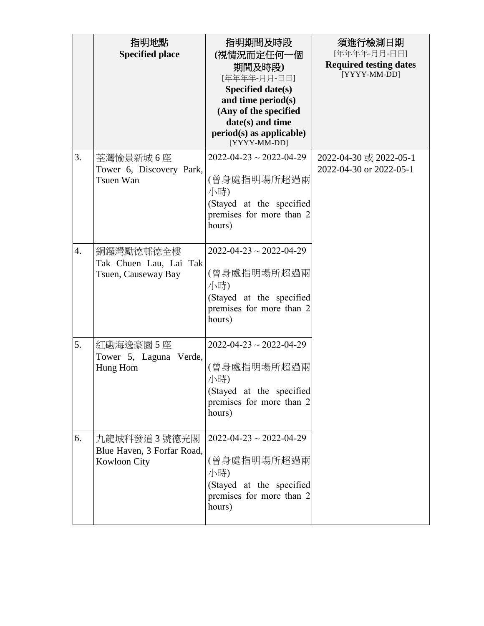|                  | 指明地點<br><b>Specified place</b>                             | 指明期間及時段<br>(視情況而定任何一個<br>期間及時段)<br>[年年年年-月月-日日]<br>Specified date(s)<br>and time period(s)<br>(Any of the specified<br>date(s) and time<br>$period(s)$ as applicable)<br>[YYYY-MM-DD] | 須進行檢測日期<br>[年年年年-月月-日日]<br><b>Required testing dates</b><br>[YYYY-MM-DD] |
|------------------|------------------------------------------------------------|---------------------------------------------------------------------------------------------------------------------------------------------------------------------------------------|--------------------------------------------------------------------------|
| 3.               | 荃灣愉景新城6座<br>Tower 6, Discovery Park,<br>Tsuen Wan          | $2022 - 04 - 23 \sim 2022 - 04 - 29$<br>(曾身處指明場所超過兩<br>小時)<br>(Stayed at the specified<br>premises for more than 2<br>hours)                                                          | 2022-04-30 或 2022-05-1<br>2022-04-30 or 2022-05-1                        |
| $\overline{4}$ . | 銅鑼灣勵德邨德全樓<br>Tak Chuen Lau, Lai Tak<br>Tsuen, Causeway Bay | $2022 - 04 - 23 \sim 2022 - 04 - 29$<br>(曾身處指明場所超過兩<br>小時)<br>(Stayed at the specified<br>premises for more than 2<br>hours)                                                          |                                                                          |
| 5.               | 紅磡海逸豪園 5 座<br>Tower 5, Laguna Verde,<br>Hung Hom           | $2022 - 04 - 23 \sim 2022 - 04 - 29$<br>(曾身處指明場所超過兩<br>小時)<br>(Stayed at the specified<br>premises for more than 2<br>hours)                                                          |                                                                          |
| 6.               | 九龍城科發道3號德光閣<br>Blue Haven, 3 Forfar Road,<br>Kowloon City  | $2022 - 04 - 23 \sim 2022 - 04 - 29$<br>(曾身處指明場所超過兩<br>小時)<br>(Stayed at the specified<br>premises for more than 2<br>hours)                                                          |                                                                          |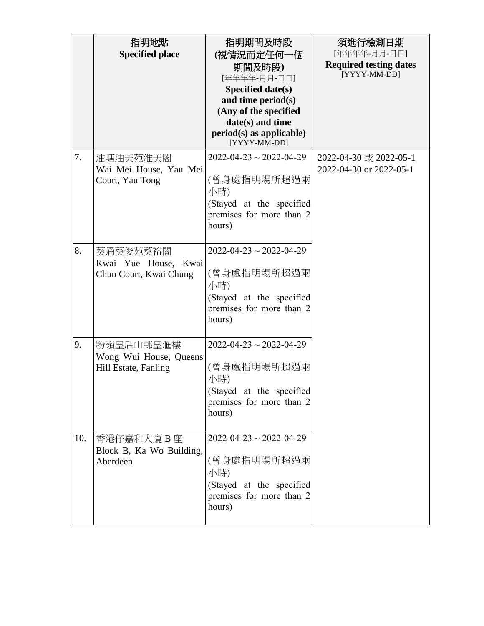|     | 指明地點<br><b>Specified place</b>                              | 指明期間及時段<br>(視情況而定任何一個<br>期間及時段)<br>[年年年年-月月-日日]<br>Specified date(s)<br>and time period(s)<br>(Any of the specified<br>date(s) and time<br>$period(s)$ as applicable)<br>[YYYY-MM-DD] | 須進行檢測日期<br>[年年年年-月月-日日]<br><b>Required testing dates</b><br>[YYYY-MM-DD] |
|-----|-------------------------------------------------------------|---------------------------------------------------------------------------------------------------------------------------------------------------------------------------------------|--------------------------------------------------------------------------|
| 7.  | 油塘油美苑淮美閣<br>Wai Mei House, Yau Mei<br>Court, Yau Tong       | $2022 - 04 - 23 \sim 2022 - 04 - 29$<br>(曾身處指明場所超過兩<br>小時)<br>(Stayed at the specified<br>premises for more than 2<br>hours)                                                          | 2022-04-30 或 2022-05-1<br>2022-04-30 or 2022-05-1                        |
| 8.  | 葵涌葵俊苑葵裕閣<br>Kwai Yue House, Kwai<br>Chun Court, Kwai Chung  | $2022 - 04 - 23 \sim 2022 - 04 - 29$<br>(曾身處指明場所超過兩<br>小時)<br>(Stayed at the specified<br>premises for more than 2<br>hours)                                                          |                                                                          |
| 9.  | 粉嶺皇后山邨皇滙樓<br>Wong Wui House, Queens<br>Hill Estate, Fanling | $2022 - 04 - 23 \sim 2022 - 04 - 29$<br>(曾身處指明場所超過兩<br>小時)<br>(Stayed at the specified<br>premises for more than 2<br>hours)                                                          |                                                                          |
| 10. | 香港仔嘉和大廈 B 座<br>Block B, Ka Wo Building,<br>Aberdeen         | $2022 - 04 - 23 \sim 2022 - 04 - 29$<br>(曾身處指明場所超過兩<br>小時)<br>(Stayed at the specified<br>premises for more than 2<br>hours)                                                          |                                                                          |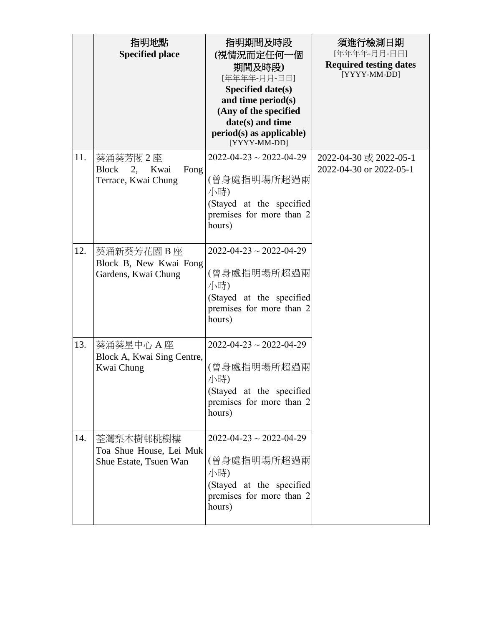|     | 指明地點<br><b>Specified place</b>                                      | 指明期間及時段<br>(視情況而定任何一個<br>期間及時段)<br>[年年年年-月月-日日]<br>Specified date(s)<br>and time period(s)<br>(Any of the specified<br>date(s) and time<br>$period(s)$ as applicable)<br>[YYYY-MM-DD] | 須進行檢測日期<br>[年年年年-月月-日日]<br><b>Required testing dates</b><br>[YYYY-MM-DD] |
|-----|---------------------------------------------------------------------|---------------------------------------------------------------------------------------------------------------------------------------------------------------------------------------|--------------------------------------------------------------------------|
| 11. | 葵涌葵芳閣 2 座<br><b>Block</b><br>Fong<br>2, Kwai<br>Terrace, Kwai Chung | $2022 - 04 - 23 \sim 2022 - 04 - 29$<br>(曾身處指明場所超過兩<br>小時)<br>(Stayed at the specified<br>premises for more than 2<br>hours)                                                          | 2022-04-30 或 2022-05-1<br>2022-04-30 or 2022-05-1                        |
| 12. | 葵涌新葵芳花園 B 座<br>Block B, New Kwai Fong<br>Gardens, Kwai Chung        | $2022 - 04 - 23 \sim 2022 - 04 - 29$<br>(曾身處指明場所超過兩<br>小時)<br>(Stayed at the specified<br>premises for more than 2<br>hours)                                                          |                                                                          |
| 13. | 葵涌葵星中心 A 座<br>Block A, Kwai Sing Centre,<br>Kwai Chung              | $2022 - 04 - 23 \sim 2022 - 04 - 29$<br>(曾身處指明場所超過兩<br>小時)<br>(Stayed at the specified<br>premises for more than 2<br>hours)                                                          |                                                                          |
| 14. | 荃灣梨木樹邨桃樹樓<br>Toa Shue House, Lei Muk<br>Shue Estate, Tsuen Wan      | $2022 - 04 - 23 \sim 2022 - 04 - 29$<br>(曾身處指明場所超過兩<br>小時)<br>(Stayed at the specified<br>premises for more than 2<br>hours)                                                          |                                                                          |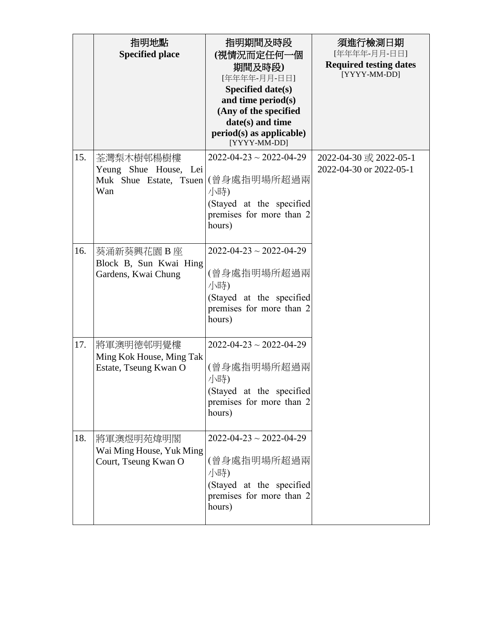|     | 指明地點<br><b>Specified place</b>                                      | 指明期間及時段<br>(視情況而定任何一個<br>期間及時段)<br>[年年年年-月月-日日]<br>Specified date(s)<br>and time period(s)<br>(Any of the specified<br>date(s) and time<br>$period(s)$ as applicable)<br>[YYYY-MM-DD] | 須進行檢測日期<br>[年年年年-月月-日日]<br><b>Required testing dates</b><br>[YYYY-MM-DD] |
|-----|---------------------------------------------------------------------|---------------------------------------------------------------------------------------------------------------------------------------------------------------------------------------|--------------------------------------------------------------------------|
| 15. | 荃灣梨木樹邨楊樹樓<br>Yeung Shue House, Lei<br>Muk Shue Estate, Tsuen<br>Wan | $2022 - 04 - 23 \sim 2022 - 04 - 29$<br>(曾身處指明場所超過兩<br>小時)<br>(Stayed at the specified<br>premises for more than 2<br>hours)                                                          | 2022-04-30 或 2022-05-1<br>2022-04-30 or 2022-05-1                        |
| 16. | 葵涌新葵興花園 B 座<br>Block B, Sun Kwai Hing<br>Gardens, Kwai Chung        | $2022 - 04 - 23 \sim 2022 - 04 - 29$<br>(曾身處指明場所超過兩<br>小時)<br>(Stayed at the specified<br>premises for more than 2<br>hours)                                                          |                                                                          |
| 17. | 將軍澳明德邨明覺樓<br>Ming Kok House, Ming Tak<br>Estate, Tseung Kwan O      | $2022 - 04 - 23 \sim 2022 - 04 - 29$<br>(曾身處指明場所超過兩<br>小時)<br>(Stayed at the specified<br>premises for more than 2<br>hours)                                                          |                                                                          |
| 18. | 將軍澳煜明苑煒明閣<br>Wai Ming House, Yuk Ming<br>Court, Tseung Kwan O       | $2022 - 04 - 23 \sim 2022 - 04 - 29$<br>(曾身處指明場所超過兩<br>小時)<br>(Stayed at the specified<br>premises for more than 2<br>hours)                                                          |                                                                          |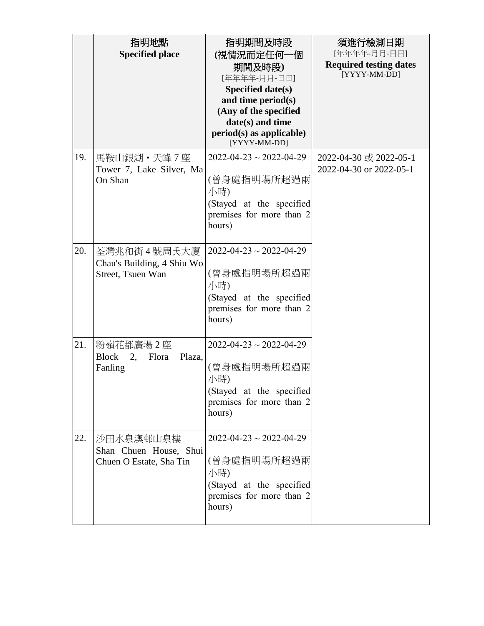|     | 指明地點<br><b>Specified place</b>                                   | 指明期間及時段<br>(視情況而定任何一個<br>期間及時段)<br>[年年年年-月月-日日]<br>Specified date(s)<br>and time period(s)<br>(Any of the specified<br>date(s) and time<br>$period(s)$ as applicable)<br>[YYYY-MM-DD] | 須進行檢測日期<br>[年年年年-月月-日日]<br><b>Required testing dates</b><br>[YYYY-MM-DD] |
|-----|------------------------------------------------------------------|---------------------------------------------------------------------------------------------------------------------------------------------------------------------------------------|--------------------------------------------------------------------------|
| 19. | 馬鞍山銀湖・天峰7座<br>Tower 7, Lake Silver, Ma<br>On Shan                | $2022 - 04 - 23 \sim 2022 - 04 - 29$<br>(曾身處指明場所超過兩<br>小時)<br>(Stayed at the specified<br>premises for more than 2<br>hours)                                                          | 2022-04-30 或 2022-05-1<br>2022-04-30 or 2022-05-1                        |
| 20. | 荃灣兆和街 4 號周氏大廈<br>Chau's Building, 4 Shiu Wo<br>Street, Tsuen Wan | $2022 - 04 - 23 \sim 2022 - 04 - 29$<br>(曾身處指明場所超過兩<br>小時)<br>(Stayed at the specified<br>premises for more than 2<br>hours)                                                          |                                                                          |
| 21. | 粉嶺花都廣場2座<br>2,<br><b>Block</b><br>Flora<br>Plaza,<br>Fanling     | $2022 - 04 - 23 \sim 2022 - 04 - 29$<br>(曾身處指明場所超過兩<br>小時)<br>(Stayed at the specified<br>premises for more than 2<br>hours)                                                          |                                                                          |
| 22. | 沙田水泉澳邨山泉樓<br>Shan Chuen House, Shui<br>Chuen O Estate, Sha Tin   | $2022 - 04 - 23 \sim 2022 - 04 - 29$<br>(曾身處指明場所超過兩<br>小時)<br>(Stayed at the specified<br>premises for more than 2<br>hours)                                                          |                                                                          |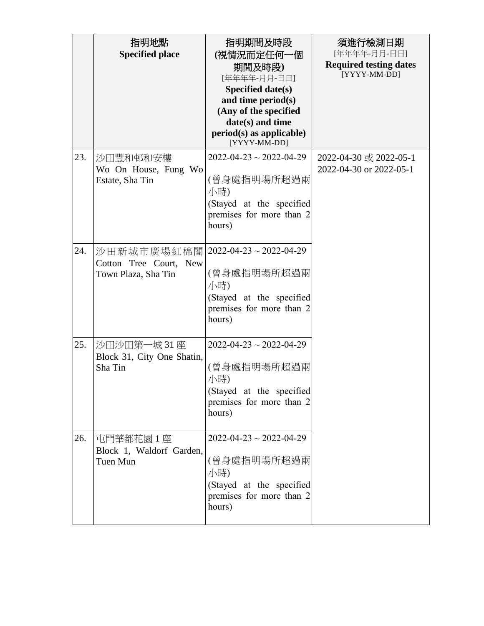|     | 指明地點<br><b>Specified place</b>                               | 指明期間及時段<br>(視情況而定任何一個<br>期間及時段)<br>[年年年年-月月-日日]<br>Specified date(s)<br>and time period(s)<br>(Any of the specified<br>date(s) and time<br>$period(s)$ as applicable)<br>[YYYY-MM-DD] | 須進行檢測日期<br>[年年年年-月月-日日]<br><b>Required testing dates</b><br>[YYYY-MM-DD] |
|-----|--------------------------------------------------------------|---------------------------------------------------------------------------------------------------------------------------------------------------------------------------------------|--------------------------------------------------------------------------|
| 23. | 沙田豐和邨和安樓<br>Wo On House, Fung Wo<br>Estate, Sha Tin          | $2022 - 04 - 23 \sim 2022 - 04 - 29$<br>(曾身處指明場所超過兩<br>小時)<br>(Stayed at the specified<br>premises for more than 2<br>hours)                                                          | 2022-04-30 或 2022-05-1<br>2022-04-30 or 2022-05-1                        |
| 24. | 沙田新城市廣場紅棉閣 <br>Cotton Tree Court, New<br>Town Plaza, Sha Tin | $2022 - 04 - 23 \sim 2022 - 04 - 29$<br>(曾身處指明場所超過兩<br>小時)<br>(Stayed at the specified<br>premises for more than 2<br>hours)                                                          |                                                                          |
| 25. | 沙田沙田第一城 31座<br>Block 31, City One Shatin,<br>Sha Tin         | $2022 - 04 - 23 \sim 2022 - 04 - 29$<br>(曾身處指明場所超過兩<br>小時)<br>(Stayed at the specified<br>premises for more than 2<br>hours)                                                          |                                                                          |
| 26. | 屯門華都花園 1 座<br>Block 1, Waldorf Garden,<br>Tuen Mun           | $2022 - 04 - 23 \sim 2022 - 04 - 29$<br>(曾身處指明場所超過兩<br>小時)<br>(Stayed at the specified<br>premises for more than 2<br>hours)                                                          |                                                                          |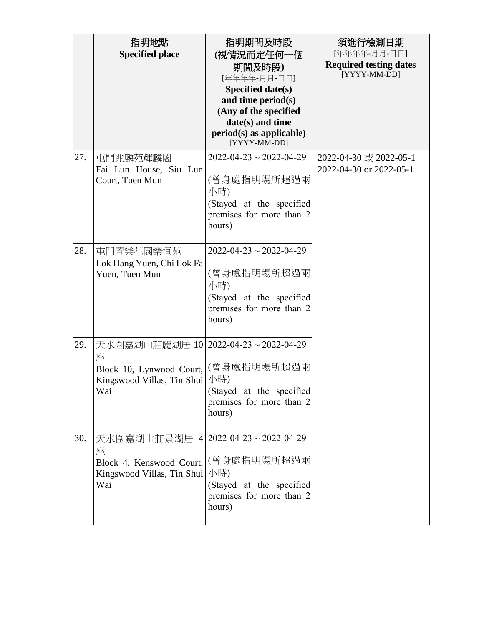|     | 指明地點<br><b>Specified place</b>                                                                                             | 指明期間及時段<br>(視情況而定任何一個<br>期間及時段)<br>[年年年年-月月-日日]<br>Specified date(s)<br>and time period(s)<br>(Any of the specified<br>date(s) and time<br>$period(s)$ as applicable)<br>[YYYY-MM-DD] | 須進行檢測日期<br>[年年年年-月月-日日]<br><b>Required testing dates</b><br>[YYYY-MM-DD] |
|-----|----------------------------------------------------------------------------------------------------------------------------|---------------------------------------------------------------------------------------------------------------------------------------------------------------------------------------|--------------------------------------------------------------------------|
| 27. | 屯門兆麟苑輝麟閣<br>Fai Lun House, Siu Lun<br>Court, Tuen Mun                                                                      | $2022 - 04 - 23 \sim 2022 - 04 - 29$<br>(曾身處指明場所超過兩<br>小時)<br>(Stayed at the specified<br>premises for more than 2<br>hours)                                                          | 2022-04-30 或 2022-05-1<br>2022-04-30 or 2022-05-1                        |
| 28. | 屯門置樂花園樂恒苑<br>Lok Hang Yuen, Chi Lok Fa<br>Yuen, Tuen Mun                                                                   | $2022 - 04 - 23 \sim 2022 - 04 - 29$<br>(曾身處指明場所超過兩<br>小時)<br>(Stayed at the specified<br>premises for more than 2<br>hours)                                                          |                                                                          |
| 29. | 天水圍嘉湖山莊麗湖居 10 2022-04-23~2022-04-29<br>座<br>Block 10, Lynwood Court,<br>Kingswood Villas, Tin Shui<br>Wai                  | (曾身處指明場所超過兩<br>小時)<br>(Stayed at the specified<br>premises for more than 2<br>hours)                                                                                                  |                                                                          |
| 30. | 天水圍嘉湖山莊景湖居 4 2022-04-23~2022-04-29<br>座<br>Block 4, Kenswood Court, (曾身處指明場所超過兩<br>Kingswood Villas, Tin Shui   小時)<br>Wai | (Stayed at the specified<br>premises for more than 2<br>hours)                                                                                                                        |                                                                          |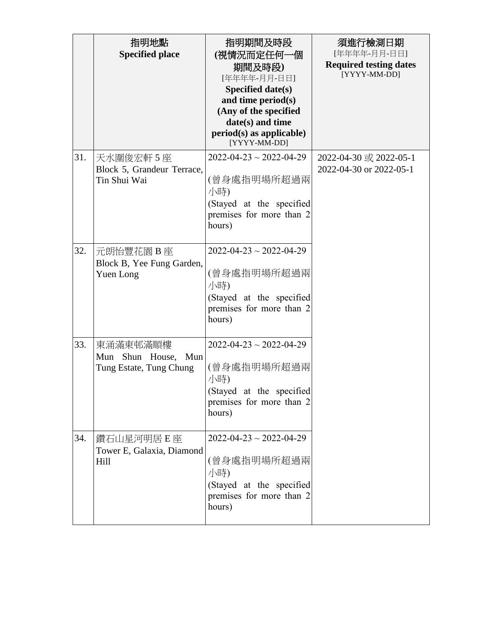|     | 指明地點<br><b>Specified place</b>                                   | 指明期間及時段<br>(視情況而定任何一個<br>期間及時段)<br>[年年年年-月月-日日]<br>Specified date(s)<br>and time period(s)<br>(Any of the specified<br>date(s) and time<br>$period(s)$ as applicable)<br>[YYYY-MM-DD] | 須進行檢測日期<br>[年年年年-月月-日日]<br><b>Required testing dates</b><br>[YYYY-MM-DD] |
|-----|------------------------------------------------------------------|---------------------------------------------------------------------------------------------------------------------------------------------------------------------------------------|--------------------------------------------------------------------------|
| 31. | 天水圍俊宏軒 5 座<br>Block 5, Grandeur Terrace,<br>Tin Shui Wai         | $2022 - 04 - 23 \sim 2022 - 04 - 29$<br>(曾身處指明場所超過兩<br>小時)<br>(Stayed at the specified<br>premises for more than 2<br>hours)                                                          | 2022-04-30 或 2022-05-1<br>2022-04-30 or 2022-05-1                        |
| 32. | 元朗怡豐花園 B 座<br>Block B, Yee Fung Garden,<br>Yuen Long             | $2022 - 04 - 23 \sim 2022 - 04 - 29$<br>(曾身處指明場所超過兩<br>小時)<br>(Stayed at the specified<br>premises for more than 2<br>hours)                                                          |                                                                          |
| 33. | 東涌滿東邨滿順樓<br>Shun House,<br>Mun<br>Mun<br>Tung Estate, Tung Chung | $2022 - 04 - 23 \sim 2022 - 04 - 29$<br>(曾身處指明場所超過兩<br>小時)<br>(Stayed at the specified<br>premises for more than 2<br>hours)                                                          |                                                                          |
| 34. | 鑽石山星河明居 E 座<br>Tower E, Galaxia, Diamond<br>Hill                 | $2022 - 04 - 23 \sim 2022 - 04 - 29$<br>(曾身處指明場所超過兩<br>小時)<br>(Stayed at the specified<br>premises for more than 2<br>hours)                                                          |                                                                          |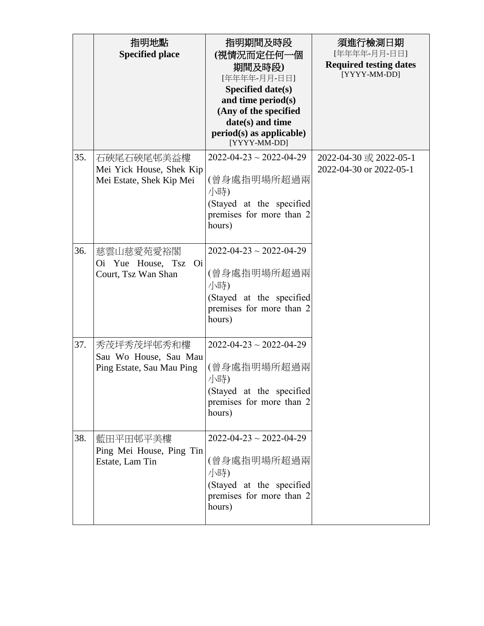|     | 指明地點<br><b>Specified place</b>                                     | 指明期間及時段<br>(視情況而定任何一個<br>期間及時段)<br>[年年年年-月月-日日]<br>Specified date(s)<br>and time period(s)<br>(Any of the specified<br>date(s) and time<br>$period(s)$ as applicable)<br>[YYYY-MM-DD] | 須進行檢測日期<br>[年年年年-月月-日日]<br><b>Required testing dates</b><br>[YYYY-MM-DD] |
|-----|--------------------------------------------------------------------|---------------------------------------------------------------------------------------------------------------------------------------------------------------------------------------|--------------------------------------------------------------------------|
| 35. | 石硤尾石硤尾邨美益樓<br>Mei Yick House, Shek Kip<br>Mei Estate, Shek Kip Mei | $2022 - 04 - 23 \sim 2022 - 04 - 29$<br>(曾身處指明場所超過兩<br>小時)<br>(Stayed at the specified<br>premises for more than 2<br>hours)                                                          | 2022-04-30 或 2022-05-1<br>2022-04-30 or 2022-05-1                        |
| 36. | 慈雲山慈愛苑愛裕閣<br>Oi Yue House, Tsz Oi<br>Court, Tsz Wan Shan           | $2022 - 04 - 23 \sim 2022 - 04 - 29$<br>(曾身處指明場所超過兩<br>小時)<br>(Stayed at the specified<br>premises for more than 2<br>hours)                                                          |                                                                          |
| 37. | 秀茂坪秀茂坪邨秀和樓<br>Sau Wo House, Sau Mau<br>Ping Estate, Sau Mau Ping   | $2022 - 04 - 23 \sim 2022 - 04 - 29$<br>(曾身處指明場所超過兩<br>小時)<br>(Stayed at the specified<br>premises for more than 2<br>hours)                                                          |                                                                          |
| 38. | 藍田平田邨平美樓<br>Ping Mei House, Ping Tin<br>Estate, Lam Tin            | $2022 - 04 - 23 \sim 2022 - 04 - 29$<br>(曾身處指明場所超過兩<br>小時)<br>(Stayed at the specified<br>premises for more than 2<br>hours)                                                          |                                                                          |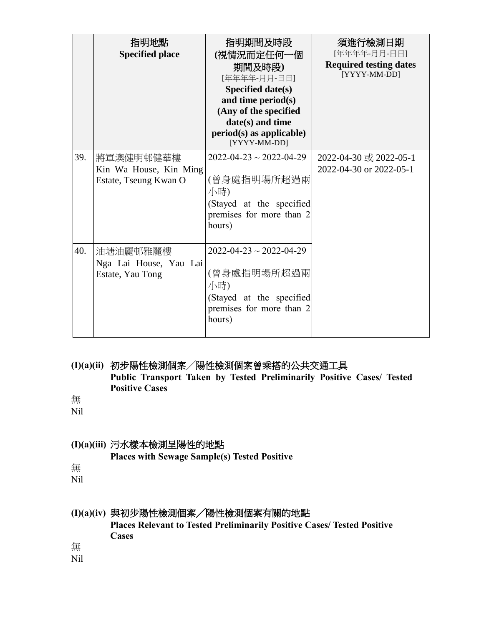|     | 指明地點<br><b>Specified place</b>                               | 指明期間及時段<br>(視情況而定任何一個<br>期間及時段)<br>[年年年年-月月-日日]<br>Specified date(s)<br>and time period(s)<br>(Any of the specified<br>date(s) and time<br>$period(s)$ as applicable)<br>[YYYY-MM-DD] | 須進行檢測日期<br>[年年年年-月月-日日]<br><b>Required testing dates</b><br>[YYYY-MM-DD] |
|-----|--------------------------------------------------------------|---------------------------------------------------------------------------------------------------------------------------------------------------------------------------------------|--------------------------------------------------------------------------|
| 39. | 將軍澳健明邨健華樓<br>Kin Wa House, Kin Ming<br>Estate, Tseung Kwan O | $2022 - 04 - 23 \sim 2022 - 04 - 29$<br>(曾身處指明場所超過兩<br>小時)<br>(Stayed at the specified<br>premises for more than 2<br>hours)                                                          | 2022-04-30 或 2022-05-1<br>2022-04-30 or 2022-05-1                        |
| 40. | 油塘油麗邨雅麗樓<br>Nga Lai House, Yau Lai<br>Estate, Yau Tong       | $2022 - 04 - 23 \sim 2022 - 04 - 29$<br>(曾身處指明場所超過兩<br>小時)<br>(Stayed at the specified<br>premises for more than 2<br>hours)                                                          |                                                                          |

**(I)(a)(ii)** 初步陽性檢測個案╱陽性檢測個案曾乘搭的公共交通工具 **Public Transport Taken by Tested Preliminarily Positive Cases/ Tested Positive Cases**

無

Nil

### **(I)(a)(iii)** 污水樣本檢測呈陽性的地點

**Places with Sewage Sample(s) Tested Positive**

無

Nil

# **(I)(a)(iv)** 與初步陽性檢測個案╱陽性檢測個案有關的地點

**Places Relevant to Tested Preliminarily Positive Cases/ Tested Positive Cases** 

無

Nil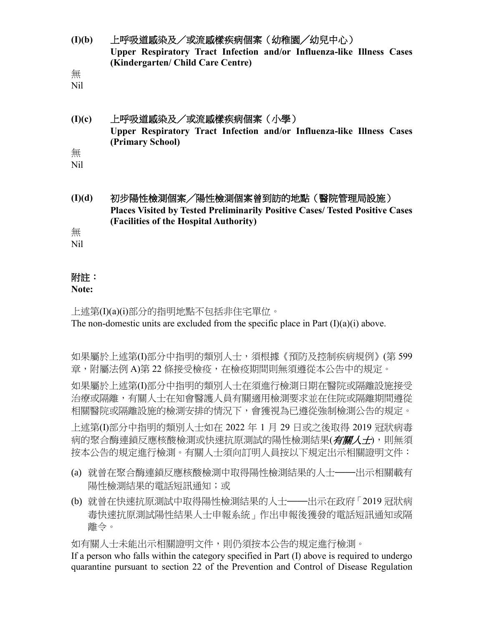**(I)(b)** 上呼吸道感染及/或流感樣疾病個案(幼稚園╱幼兒中心) **Upper Respiratory Tract Infection and/or Influenza-like Illness Cases (Kindergarten/ Child Care Centre)**

無

Nil

### **(I)(c)** 上呼吸道感染及/或流感樣疾病個案(小學) **Upper Respiratory Tract Infection and/or Influenza-like Illness Cases (Primary School)** 無

Nil

**(I)(d)** 初步陽性檢測個案╱陽性檢測個案曾到訪的地點(醫院管理局設施) **Places Visited by Tested Preliminarily Positive Cases/ Tested Positive Cases (Facilities of the Hospital Authority)**

無

Nil

# 附註:

### **Note:**

上述第(I)(a)(i)部分的指明地點不包括非住宅單位。 The non-domestic units are excluded from the specific place in Part  $(I)(a)(i)$  above.

如果屬於上述第(I)部分中指明的類別人士,須根據《預防及控制疾病規例》(第 599 章,附屬法例 A)第 22 條接受檢疫,在檢疫期間則無須遵從本公告中的規定。

如果屬於上述第(I)部分中指明的類別人士在須進行檢測日期在醫院或隔離設施接受 治療或隔離,有關人士在知會醫護人員有關適用檢測要求並在住院或隔離期間遵從 相關醫院或隔離設施的檢測安排的情況下,會獲視為已遵從強制檢測公告的規定。

上述第(I)部分中指明的類別人士如在 2022 年 1 月 29 日或之後取得 2019 冠狀病毒 病的聚合酶連鎖反應核酸檢測或快速抗原測試的陽性檢測結果(有關人士),則無須 按本公告的規定進行檢測。有關人士須向訂明人員按以下規定出示相關證明文件:

- (a) 就曾在聚合酶連鎖反應核酸檢測中取得陽性檢測結果的人士——出示相關載有 陽性檢測結果的電話短訊通知;或
- (b) 就曾在快速抗原測試中取得陽性檢測結果的人士——出示在政府「2019 冠狀病 毒快速抗原測試陽性結果人士申報系統」作出申報後獲發的電話短訊通知或隔 離令。

如有關人士未能出示相關證明文件,則仍須按本公告的規定進行檢測。

If a person who falls within the category specified in Part (I) above is required to undergo quarantine pursuant to section 22 of the Prevention and Control of Disease Regulation